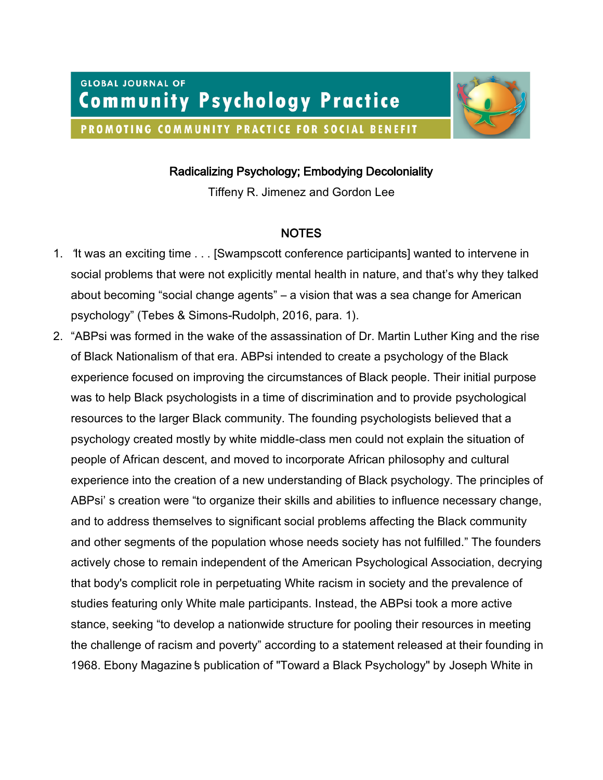PROMOTING COMMUNITY PRACTICE FOR SOCIAL BENEFIT



## Radicalizing Psychology; Embodying Decoloniality

Tiffeny R. Jimenez and Gordon Lee

## NOTES

- 1. "It was an exciting time . . . [Swampscott conference participants] wanted to intervene in social problems that were not explicitly mental health in nature, and that's why they talked about becoming "social change agents" – a vision that was a sea change for American psychology" (Tebes & Simons-Rudolph, 2016, para. 1).
- 2. "ABPsi was formed in the wake of the assassination of Dr. Martin Luther King and the rise of Black Nationalism of that era. ABPsi intended to create a psychology of the Black experience focused on improving the circumstances of Black people. Their initial purpose was to help Black psychologists in a time of discrimination and to provide psychological resources to the larger Black community. The founding psychologists believed that a psychology created mostly by white middle-class men could not explain the situation of people of African descent, and moved to incorporate African philosophy and cultural experience into the creation of a new understanding of Black psychology. The principles of ABPsi' s creation were "to organize their skills and abilities to influence necessary change, and to address themselves to significant social problems affecting the Black community and other segments of the population whose needs society has not fulfilled." The founders actively chose to remain independent of the American Psychological Association, decrying that body's complicit role in perpetuating White racism in society and the prevalence of studies featuring only White male participants. Instead, the ABPsi took a more active stance, seeking "to develop a nationwide structure for pooling their resources in meeting the challenge of racism and poverty" according to a statement released at their founding in 1968. Ebony Magazine's publication of "Toward a Black Psychology" by Joseph White in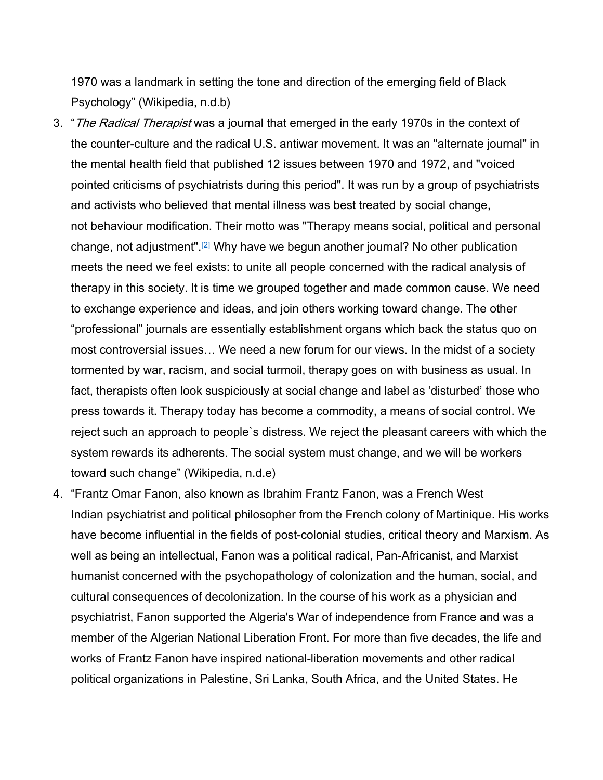1970 was a landmark in setting the tone and direction of the emerging field of Black Psychology" (Wikipedia, n.d.b)

- 3. "The Radical Therapist was a journal that emerged in the early 1970s in the context of the counter-culture and the radical U.S. antiwar movement. It was an "alternate journal" in the mental health field that published 12 issues between 1970 and 1972, and "voiced pointed criticisms of psychiatrists during this period". It was run by a group of psychiatrists and activists who believed that mental illness was best treated by social change, not behaviour modification. Their motto was "Therapy means social, political and personal change, not adjustment".  $[2]$  Why have we begun another journal? No other publication meets the need we feel exists: to unite all people concerned with the radical analysis of therapy in this society. It is time we grouped together and made common cause. We need to exchange experience and ideas, and join others working toward change. The other "professional" journals are essentially establishment organs which back the status quo on most controversial issues… We need a new forum for our views. In the midst of a society tormented by war, racism, and social turmoil, therapy goes on with business as usual. In fact, therapists often look suspiciously at social change and label as 'disturbed' those who press towards it. Therapy today has become a commodity, a means of social control. We reject such an approach to people`s distress. We reject the pleasant careers with which the system rewards its adherents. The social system must change, and we will be workers toward such change" (Wikipedia, n.d.e)
- 4. "Frantz Omar Fanon, also known as Ibrahim Frantz Fanon, was a French West Indian psychiatrist and political philosopher from the French colony of Martinique. His works have become influential in the fields of post-colonial studies, critical theory and Marxism. As well as being an intellectual, Fanon was a political radical, Pan-Africanist, and Marxist humanist concerned with the psychopathology of colonization and the human, social, and cultural consequences of decolonization. In the course of his work as a physician and psychiatrist, Fanon supported the Algeria's War of independence from France and was a member of the Algerian National Liberation Front. For more than five decades, the life and works of Frantz Fanon have inspired national-liberation movements and other radical political organizations in Palestine, Sri Lanka, South Africa, and the United States. He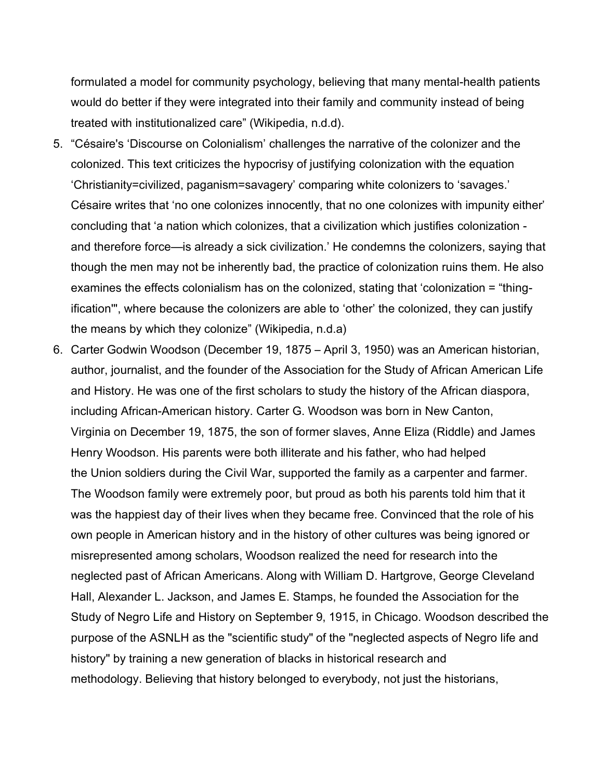formulated a model for community psychology, believing that many mental-health patients would do better if they were integrated into their family and community instead of being treated with institutionalized care" (Wikipedia, n.d.d).

- 5. "Césaire's 'Discourse on Colonialism' challenges the narrative of the colonizer and the colonized. This text criticizes the hypocrisy of justifying colonization with the equation 'Christianity=civilized, paganism=savagery' comparing white colonizers to 'savages.' Césaire writes that 'no one colonizes innocently, that no one colonizes with impunity either' concluding that 'a nation which colonizes, that a civilization which justifies colonization and therefore force—is already a sick civilization.' He condemns the colonizers, saying that though the men may not be inherently bad, the practice of colonization ruins them. He also examines the effects colonialism has on the colonized, stating that 'colonization = "thingification'", where because the colonizers are able to 'other' the colonized, they can justify the means by which they colonize" (Wikipedia, n.d.a)
- 6. Carter Godwin Woodson (December 19, 1875 April 3, 1950) was an American historian, author, journalist, and the founder of the Association for the Study of African American Life and History. He was one of the first scholars to study the history of the African diaspora, including African-American history. Carter G. Woodson was born in New Canton, Virginia on December 19, 1875, the son of former slaves, Anne Eliza (Riddle) and James Henry Woodson. His parents were both illiterate and his father, who had helped the Union soldiers during the Civil War, supported the family as a carpenter and farmer. The Woodson family were extremely poor, but proud as both his parents told him that it was the happiest day of their lives when they became free. Convinced that the role of his own people in American history and in the history of other cultures was being ignored or misrepresented among scholars, Woodson realized the need for research into the neglected past of African Americans. Along with William D. Hartgrove, George Cleveland Hall, Alexander L. Jackson, and James E. Stamps, he founded the Association for the Study of Negro Life and History on September 9, 1915, in Chicago. Woodson described the purpose of the ASNLH as the "scientific study" of the "neglected aspects of Negro life and history" by training a new generation of blacks in historical research and methodology. Believing that history belonged to everybody, not just the historians,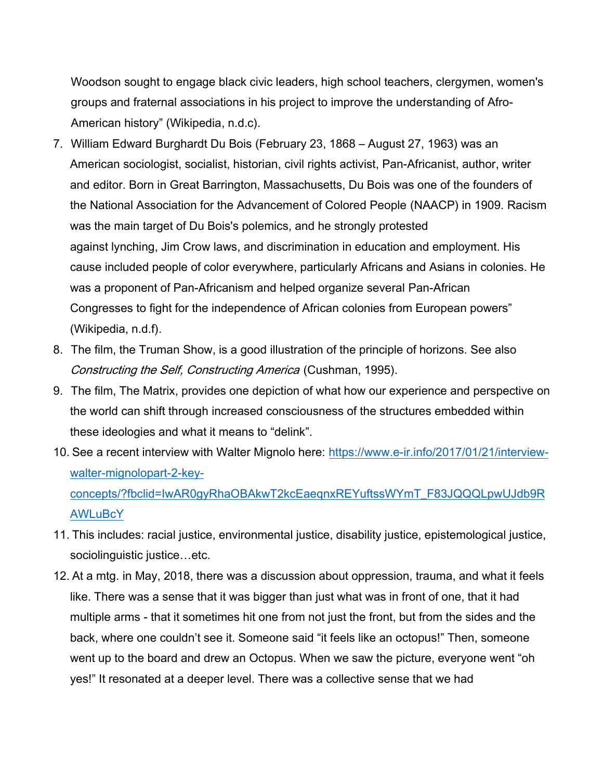Woodson sought to engage black civic leaders, high school teachers, clergymen, women's groups and fraternal associations in his project to improve the understanding of Afro-American history" (Wikipedia, n.d.c).

- 7. William Edward Burghardt Du Bois (February 23, 1868 August 27, 1963) was an American sociologist, socialist, historian, civil rights activist, Pan-Africanist, author, writer and editor. Born in Great Barrington, Massachusetts, Du Bois was one of the founders of the National Association for the Advancement of Colored People (NAACP) in 1909. Racism was the main target of Du Bois's polemics, and he strongly protested against lynching, Jim Crow laws, and discrimination in education and employment. His cause included people of color everywhere, particularly Africans and Asians in colonies. He was a proponent of Pan-Africanism and helped organize several Pan-African Congresses to fight for the independence of African colonies from European powers" (Wikipedia, n.d.f).
- 8. The film, the Truman Show, is a good illustration of the principle of horizons. See also Constructing the Self, Constructing America (Cushman, 1995).
- 9. The film, The Matrix, provides one depiction of what how our experience and perspective on the world can shift through increased consciousness of the structures embedded within these ideologies and what it means to "delink".
- 10. See a recent interview with Walter Mignolo here: [https://www.e-ir.info/2017/01/21/interview](https://www.e-ir.info/2017/01/21/interview-walter-mignolopart-2-key-concepts/?fbclid=IwAR0gyRhaOBAkwT2kcEaeqnxREYuftssWYmT_F83JQQQLpwUJdb9RAWLuBcY)[walter-mignolopart-2-key](https://www.e-ir.info/2017/01/21/interview-walter-mignolopart-2-key-concepts/?fbclid=IwAR0gyRhaOBAkwT2kcEaeqnxREYuftssWYmT_F83JQQQLpwUJdb9RAWLuBcY)[concepts/?fbclid=IwAR0gyRhaOBAkwT2kcEaeqnxREYuftssWYmT\\_F83JQQQLpwUJdb9R](https://www.e-ir.info/2017/01/21/interview-walter-mignolopart-2-key-concepts/?fbclid=IwAR0gyRhaOBAkwT2kcEaeqnxREYuftssWYmT_F83JQQQLpwUJdb9RAWLuBcY) **[AWLuBcY](https://www.e-ir.info/2017/01/21/interview-walter-mignolopart-2-key-concepts/?fbclid=IwAR0gyRhaOBAkwT2kcEaeqnxREYuftssWYmT_F83JQQQLpwUJdb9RAWLuBcY)**
- 11. This includes: racial justice, environmental justice, disability justice, epistemological justice, sociolinguistic justice…etc.
- 12. At a mtg. in May, 2018, there was a discussion about oppression, trauma, and what it feels like. There was a sense that it was bigger than just what was in front of one, that it had multiple arms - that it sometimes hit one from not just the front, but from the sides and the back, where one couldn't see it. Someone said "it feels like an octopus!" Then, someone went up to the board and drew an Octopus. When we saw the picture, everyone went "oh yes!" It resonated at a deeper level. There was a collective sense that we had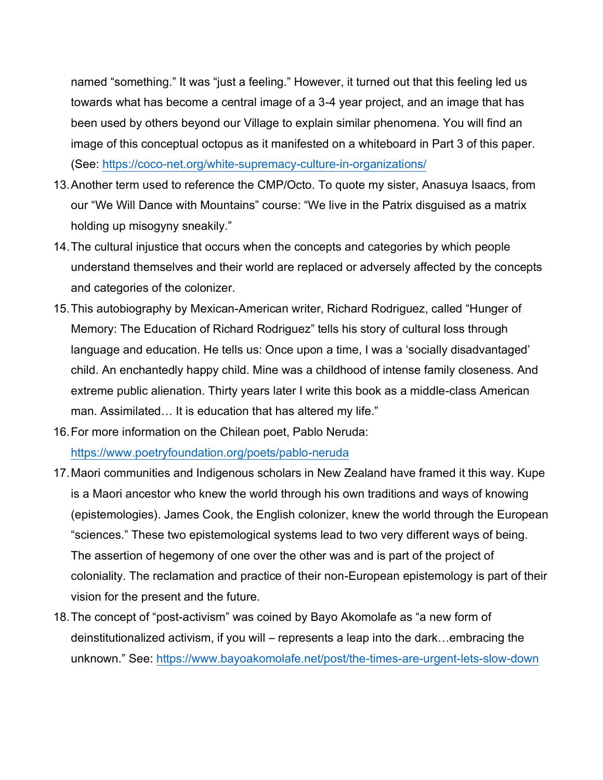named "something." It was "just a feeling." However, it turned out that this feeling led us towards what has become a central image of a 3-4 year project, and an image that has been used by others beyond our Village to explain similar phenomena. You will find an image of this conceptual octopus as it manifested on a whiteboard in Part 3 of this paper. (See:<https://coco-net.org/white-supremacy-culture-in-organizations/>

- 13.Another term used to reference the CMP/Octo. To quote my sister, Anasuya Isaacs, from our "We Will Dance with Mountains" course: "We live in the Patrix disguised as a matrix holding up misogyny sneakily."
- 14.The cultural injustice that occurs when the concepts and categories by which people understand themselves and their world are replaced or adversely affected by the concepts and categories of the colonizer.
- 15.This autobiography by Mexican-American writer, Richard Rodriguez, called "Hunger of Memory: The Education of Richard Rodriguez" tells his story of cultural loss through language and education. He tells us: Once upon a time, I was a 'socially disadvantaged' child. An enchantedly happy child. Mine was a childhood of intense family closeness. And extreme public alienation. Thirty years later I write this book as a middle-class American man. Assimilated... It is education that has altered my life."
- 16.For more information on the Chilean poet, Pablo Neruda:

<https://www.poetryfoundation.org/poets/pablo-neruda>

- 17.Maori communities and Indigenous scholars in New Zealand have framed it this way. Kupe is a Maori ancestor who knew the world through his own traditions and ways of knowing (epistemologies). James Cook, the English colonizer, knew the world through the European "sciences." These two epistemological systems lead to two very different ways of being. The assertion of hegemony of one over the other was and is part of the project of coloniality. The reclamation and practice of their non-European epistemology is part of their vision for the present and the future.
- 18.The concept of "post-activism" was coined by Bayo Akomolafe as "a new form of deinstitutionalized activism, if you will – represents a leap into the dark…embracing the unknown." See: <https://www.bayoakomolafe.net/post/the-times-are-urgent-lets-slow-down>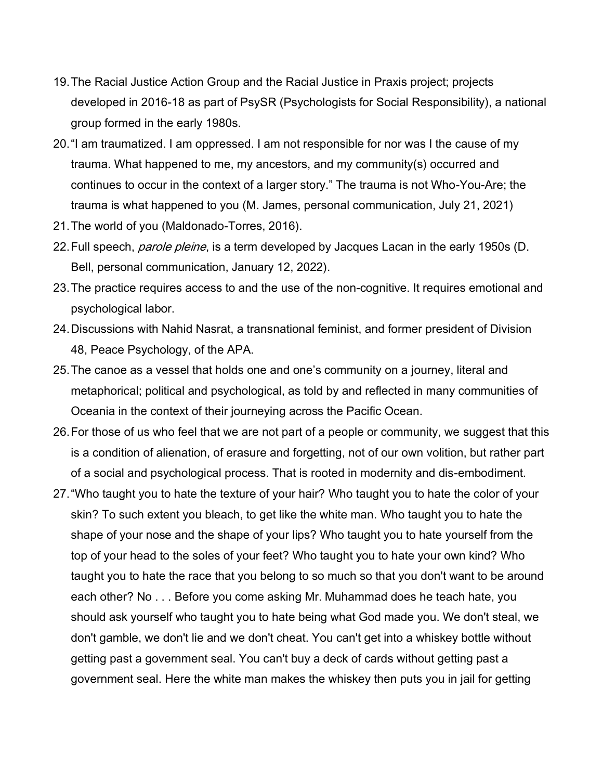- 19.The Racial Justice Action Group and the Racial Justice in Praxis project; projects developed in 2016-18 as part of PsySR (Psychologists for Social Responsibility), a national group formed in the early 1980s.
- 20."I am traumatized. I am oppressed. I am not responsible for nor was I the cause of my trauma. What happened to me, my ancestors, and my community(s) occurred and continues to occur in the context of a larger story." The trauma is not Who-You-Are; the trauma is what happened to you (M. James, personal communication, July 21, 2021)
- 21.The world of you (Maldonado-Torres, 2016).
- 22. Full speech, *parole pleine*, is a term developed by Jacques Lacan in the early 1950s (D. Bell, personal communication, January 12, 2022).
- 23.The practice requires access to and the use of the non-cognitive. It requires emotional and psychological labor.
- 24.Discussions with Nahid Nasrat, a transnational feminist, and former president of Division 48, Peace Psychology, of the APA.
- 25.The canoe as a vessel that holds one and one's community on a journey, literal and metaphorical; political and psychological, as told by and reflected in many communities of Oceania in the context of their journeying across the Pacific Ocean.
- 26.For those of us who feel that we are not part of a people or community, we suggest that this is a condition of alienation, of erasure and forgetting, not of our own volition, but rather part of a social and psychological process. That is rooted in modernity and dis-embodiment.
- 27."Who taught you to hate the texture of your hair? Who taught you to hate the color of your skin? To such extent you bleach, to get like the white man. Who taught you to hate the shape of your nose and the shape of your lips? Who taught you to hate yourself from the top of your head to the soles of your feet? Who taught you to hate your own kind? Who taught you to hate the race that you belong to so much so that you don't want to be around each other? No . . . Before you come asking Mr. Muhammad does he teach hate, you should ask yourself who taught you to hate being what God made you. We don't steal, we don't gamble, we don't lie and we don't cheat. You can't get into a whiskey bottle without getting past a government seal. You can't buy a deck of cards without getting past a government seal. Here the white man makes the whiskey then puts you in jail for getting